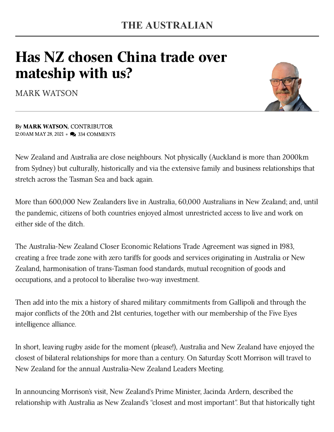## Has NZ chosen China trade over mateship with us?

MARK [WATSON](https://www.theaustralian.com.au/author/Mark+Watson)



By MARK [WATSON](https://www.theaustralian.com.au/author/Mark+Watson), CONTRIBUTOR 12:00AM MAY 28, 2021 • 2334 COMMENTS

New Zealand and Australia are close neighbours. Not physically (Auckland is more than 2000km from Sydney) but culturally, historically and via the extensive family and business relationships that stretch across the Tasman Sea and back again.

More than 600,000 New Zealanders live in Australia, 60,000 Australians in New Zealand; and, until the pandemic, citizens of both countries enjoyed almost unrestricted access to live and work on either side of the ditch.

The Australia-New Zealand Closer Economic Relations Trade Agreement was signed in 1983, creating a free trade zone with zero tariffs for goods and services originating in Australia or New Zealand, harmonisation of trans-Tasman food standards, mutual recognition of goods and occupations, and a protocol to liberalise two-way investment.

Then add into the mix a history of shared military commitments from Gallipoli and through the major conflicts of the 20th and 21st centuries, together with our membership of the Five Eyes intelligence alliance.

In short, leaving rugby aside for the moment (please!), Australia and New Zealand have enjoyed the closest of bilateral relationships for more than a century. On Saturday Scott Morrison will travel to New Zealand for the annual Australia-New Zealand Leaders Meeting.

In announcing Morrison's visit, New Zealand's Prime Minister, Jacinda Ardern, described the relationship with Australia as New Zealand's "closest and most important". But that historically tight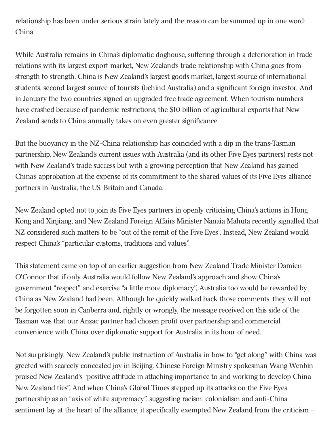relationship has been under serious strain lately and the reason can be summed up in one word: China.

While Australia remains in China's diplomatic doghouse, suffering through a deterioration in trade relations with its largest export market, New Zealand's trade relationship with China goes from strength to strength. China is New Zealand's largest goods market, largest source of international students, second largest source of tourists (behind Australia) and a significant foreign investor. And in January the two countries signed an upgraded free trade agreement. When tourism numbers have crashed because of pandemic restrictions, the \$10 billion of agricultural exports that New Zealand sends to China annually takes on even greater significance.

But the buoyancy in the NZ-China relationship has coincided with a dip in the trans-Tasman partnership. New Zealand's current issues with Australia (and its other Five Eyes partners) rests not with New Zealand's trade success but with a growing perception that New Zealand has gained China's approbation at the expense of its commitment to the shared values of its Five Eyes alliance partners in Australia, the US, Britain and Canada.

New Zealand opted not to join its Five Eyes partners in openly criticising China's actions in Hong Kong and Xinjiang, and New Zealand Foreign Affairs Minister Nanaia Mahuta recently signalled that NZ considered such matters to be "out of the remit of the Five Eyes". Instead, New Zealand would respect China's "particular customs, traditions and values".

This statement came on top of an earlier suggestion from New Zealand Trade Minister Damien O'Connor that if only Australia would follow New Zealand's approach and show China's government "respect" and exercise "a little more diplomacy", Australia too would be rewarded by China as New Zealand had been. Although he quickly walked back those comments, they will not be forgotten soon in Canberra and, rightly or wrongly, the message received on this side of the Tasman was that our Anzac partner had chosen profit over partnership and commercial convenience with China over diplomatic support for Australia in its hour of need.

Not surprisingly, New Zealand's public instruction of Australia in how to "get along" with China was greeted with scarcely concealed joy in Beijing. Chinese Foreign Ministry spokesman Wang Wenbin praised New Zealand's "positive attitude in attaching importance to and working to develop China-New Zealand ties". And when China's Global Times stepped up its attacks on the Five Eyes partnership as an "axis of white supremacy", suggesting racism, colonialism and anti-China sentiment lay at the heart of the alliance, it specifically exempted New Zealand from the criticism –